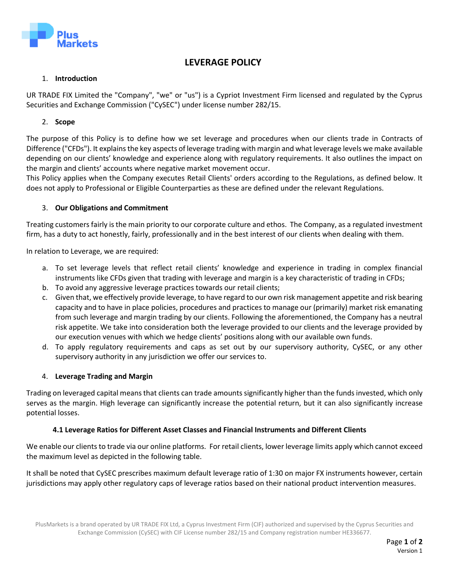

# **LEVERAGE POLICY**

#### 1. **Introduction**

UR TRADE FIX Limited the "Company", "we" or "us") is a Cypriot Investment Firm licensed and regulated by the Cyprus Securities and Exchange Commission ("CySEC") under license number 282/15.

## 2. **Scope**

The purpose of this Policy is to define how we set leverage and procedures when our clients trade in Contracts of Difference ("CFDs"). It explains the key aspects of leverage trading with margin and what leverage levels we make available depending on our clients' knowledge and experience along with regulatory requirements. It also outlines the impact on the margin and clients' accounts where negative market movement occur.

This Policy applies when the Company executes Retail Clients' orders according to the Regulations, as defined below. It does not apply to Professional or Eligible Counterparties as these are defined under the relevant Regulations.

### 3. **Our Obligations and Commitment**

Treating customers fairly isthe main priority to our corporate culture and ethos. The Company, as a regulated investment firm, has a duty to act honestly, fairly, professionally and in the best interest of our clients when dealing with them.

In relation to Leverage, we are required:

- a. To set leverage levels that reflect retail clients' knowledge and experience in trading in complex financial instruments like CFDs given that trading with leverage and margin is a key characteristic of trading in CFDs;
- b. To avoid any aggressive leverage practices towards our retail clients;
- c. Given that, we effectively provide leverage, to have regard to our own risk management appetite and risk bearing capacity and to have in place policies, procedures and practices to manage our (primarily) market risk emanating from such leverage and margin trading by our clients. Following the aforementioned, the Company has a neutral risk appetite. We take into consideration both the leverage provided to our clients and the leverage provided by our execution venues with which we hedge clients' positions along with our available own funds.
- d. To apply regulatory requirements and caps as set out by our supervisory authority, CySEC, or any other supervisory authority in any jurisdiction we offer our services to.

#### 4. **Leverage Trading and Margin**

Trading on leveraged capital means that clients can trade amounts significantly higher than the funds invested, which only serves as the margin. High leverage can significantly increase the potential return, but it can also significantly increase potential losses.

#### **4.1 Leverage Ratios for Different Asset Classes and Financial Instruments and Different Clients**

We enable our clients to trade via our online platforms. For retail clients, lower leverage limits apply which cannot exceed the maximum level as depicted in the following table.

It shall be noted that CySEC prescribes maximum default leverage ratio of 1:30 on major FX instruments however, certain jurisdictions may apply other regulatory caps of leverage ratios based on their national product intervention measures.